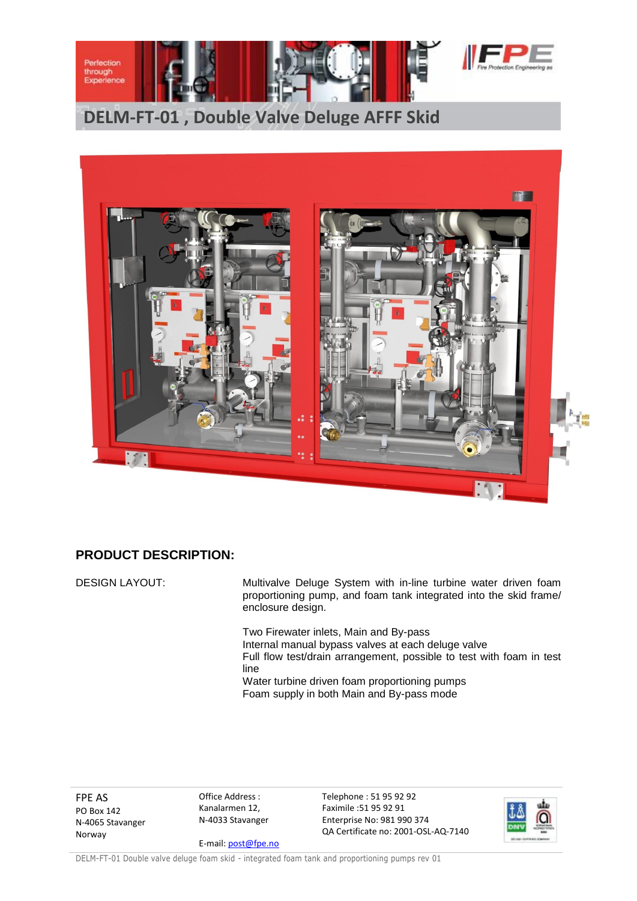

**DELM-FT-01 , Double Valve Deluge AFFF Skid**



## **PRODUCT DESCRIPTION:**

DESIGN LAYOUT: Multivalve Deluge System with in-line turbine water driven foam proportioning pump, and foam tank integrated into the skid frame/ enclosure design.

> Two Firewater inlets, Main and By-pass Internal manual bypass valves at each deluge valve Full flow test/drain arrangement, possible to test with foam in test line Water turbine driven foam proportioning pumps Foam supply in both Main and By-pass mode

FPE AS PO Box 142 N-4065 Stavanger Norway

Office Address : Kanalarmen 12, N-4033 Stavanger

E-mail[: post@fpe.no](mailto:post@fpe.no)

Telephone : 51 95 92 92 Faximile :51 95 92 91 Enterprise No: 981 990 374 QA Certificate no: 2001-OSL-AQ-7140



DELM-FT-01 Double valve deluge foam skid - integrated foam tank and proportioning pumps rev 01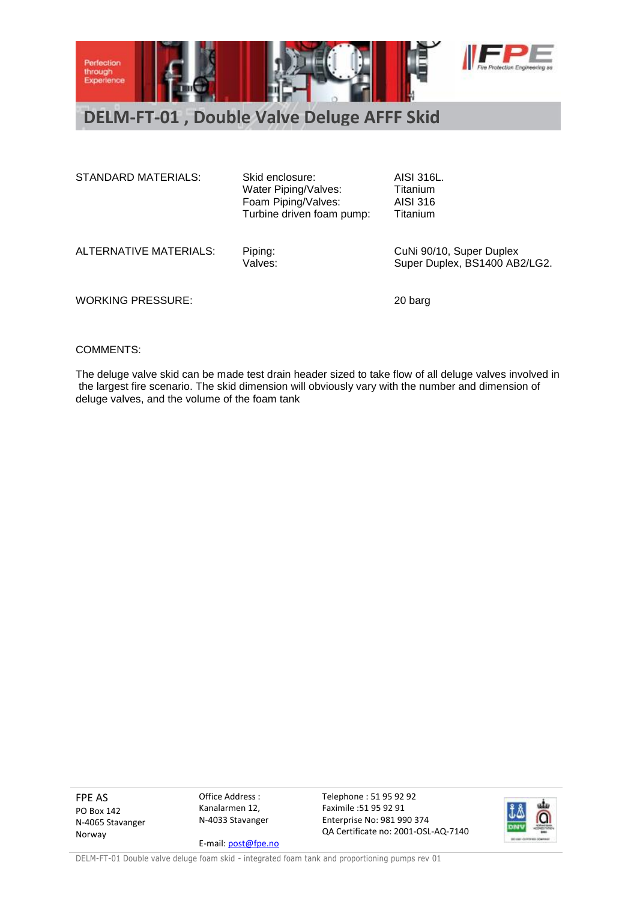

## **DELM-FT-01 , Double Valve Deluge AFFF Skid**

| STANDARD MATERIALS:    | Skid enclosure:<br>Water Piping/Valves:<br>Foam Piping/Valves:<br>Turbine driven foam pump: | AISI 316L.<br>Titanium<br>AISI 316<br><b>Titanium</b>     |
|------------------------|---------------------------------------------------------------------------------------------|-----------------------------------------------------------|
| ALTERNATIVE MATERIALS: | Piping:<br>Valves:                                                                          | CuNi 90/10, Super Duplex<br>Super Duplex, BS1400 AB2/LG2. |

WORKING PRESSURE: 20 barg

## COMMENTS:

The deluge valve skid can be made test drain header sized to take flow of all deluge valves involved in the largest fire scenario. The skid dimension will obviously vary with the number and dimension of deluge valves, and the volume of the foam tank

FPE AS PO Box 142 N-4065 Stavanger Norway

Office Address : Kanalarmen 12, N-4033 Stavanger E-mail[: post@fpe.no](mailto:post@fpe.no) Telephone : 51 95 92 92 Faximile :51 95 92 91 Enterprise No: 981 990 374 QA Certificate no: 2001-OSL-AQ-7140



DELM-FT-01 Double valve deluge foam skid - integrated foam tank and proportioning pumps rev 01